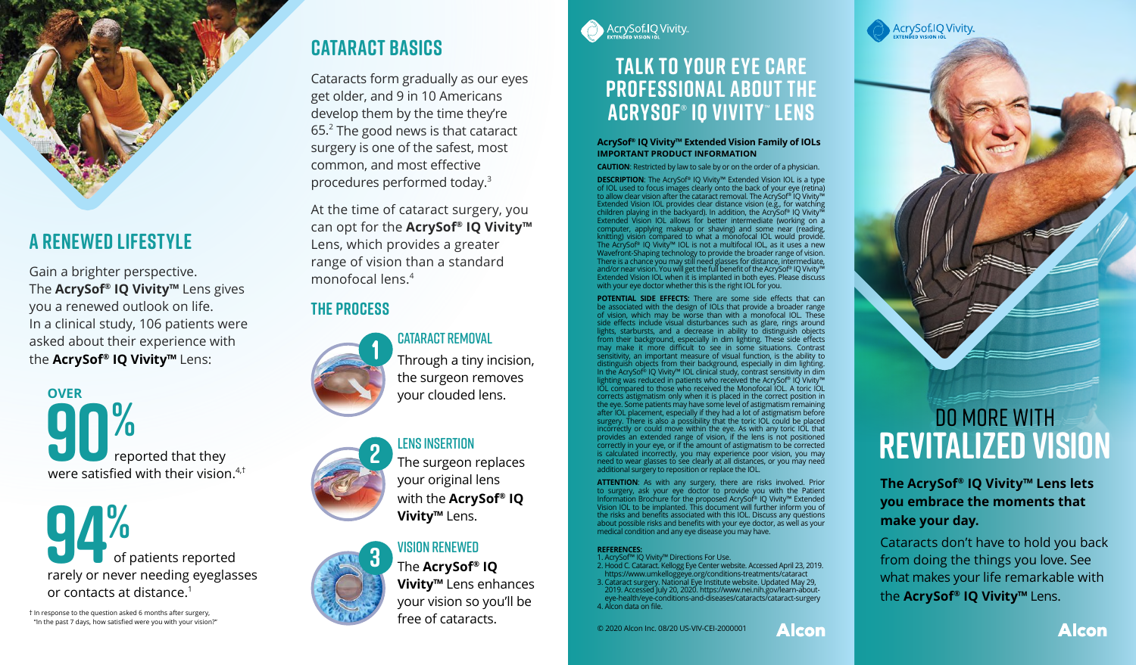

# **A Renewed lifestyle**

Gain a brighter perspective. The **AcrySof® IQ Vivity™** Lens gives you a renewed outlook on life. In a clinical study, 106 patients were asked about their experience with the **AcrySof® IQ Vivity™** Lens:

**90%**<br>
reported that they<br>
were satisfied with their vision.<sup>4,†</sup> reported that they **OVER**

**94%**<br>of patients reported<br>rarely or never needing eyeglasses of patients reported or contacts at distance.1

† In response to the question asked 6 months after surgery, "In the past 7 days, how satisfied were you with your vision?"

# **Cataract BASICS**

Cataracts form gradually as our eyes get older, and 9 in 10 Americans develop them by the time they're  $65.<sup>2</sup>$  The good news is that cataract surgery is one of the safest, most common, and most effective procedures performed today.3

At the time of cataract surgery, you can opt for the **AcrySof® IQ Vivity™** Lens, which provides a greater range of vision than a standard monofocal lens.4

## **The Process**





**2** LENS INSERTION<br>The surgeon replaces your original lens

with the **AcrySof® IQ Vivity™** Lens.



**3** VISION RENEWED<br>
The **AcrySof® IQ Vivity™** Lens enhances your vision so you'll be free of cataracts.



## **Talk to your eye care professional about the AcrySof**®  **IQ Vivity**™  **lens**

#### **AcrySof® IQ Vivity™ Extended Vision Family of IOLs IMPORTANT PRODUCT INFORMATION**

**CAUTION**: Restricted by law to sale by or on the order of a physician.

**DESCRIPTION**: The AcrySof® IQ Vivity™ Extended Vision IOL is a type of IOL used to focus images clearly onto the back of your eye (retina) to allow clear vision after the cataract removal. The AcrySof® IQ Vivity™<br>Extended Vision IOL provides clear distance vision (e.g., for watching<br>children playing in the backyard). In addition, the AcrySof® IQ Vivity™<br>Exte Wavefront-Shaping technology to provide the broader range of vision.<br>There is a chance you may still need glasses for distance, intermediate,<br>and/or near vision. You will get the full benefit of the AcrySof® IQ Vivity™<br>Ex with your eye doctor whether this is the right IOL for you.

**POTENTIAL SIDE EFFECTS:** There are some side effects that can be associated with the design of IOLs that provide a broader range of vision, which may be worse than with a monofocal IOL. These side effects include visual disturbances such as glare, rings around lights, starbursts, and a decrease in ability to distinguish objects<br>from their background, especially in dim lighting. These side effects<br>may make it more difficult to see in some situations. Contrast<br>sensitivity, an imp corrects astigmatism only when it is placed in the correct position in the eye. Some patients may have some level of astigmatism remaining after IOL placement, especially if they had a lot of astigmatism before<br>surgery. There is also a possibility that the toric IOL could be placed<br>incorrectly or could move within the eye. As with any toric IOL that<br>provides is calculated incorrectly, you may experience poor vision, you may need to wear glasses to see clearly at all distances, or you may need additional surgery to reposition or replace the IOL.

**ATTENTION:** As with any surgery, there are risks involved. Prior to surgery, ask your eye doctor to provide you with the Patient Information Brochure for the proposed AcrySo<sup>r®</sup> IQ Vivity<sup>ma</sup> Extended Vision IOL to be im about possible risks and benefits with your eye doctor, as well as your medical condition and any eye disease you may have.

#### **REFERENCES:**

1. AcrySof™ IQ Vivity™ Directions For Use.<br>2. Hood C. Cataract. Kellogg Eye Center website. Accessed April 23, 2019.<br>2. Hood C. Cataract Surgery. National Eye Institute website. Updated May 29,<br>2019. Accessed July 20, 2020

**Alcon** 

© 2020 Alcon Inc. 08/20 US-VIV-CEI-2000001



**The AcrySof® IQ Vivity™ Lens lets you embrace the moments that make your day.**

Cataracts don't have to hold you back from doing the things you love. See what makes your life remarkable with the **AcrySof® IQ Vivity™** Lens.